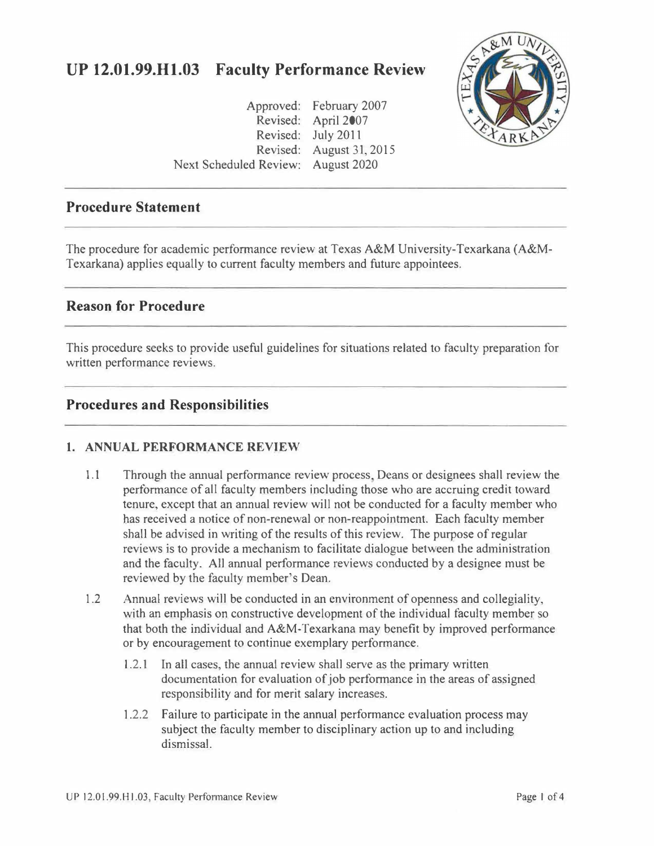# **UP 12.01.99.Hl.03 Faculty Performance Review**

Approved: February 2007 Revised: April 2007 Revised: July 2011 Revised: August 31, 2015 Next Scheduled Review: August 2020



#### **Procedure Statement**

The procedure for academic performance review at Texas A&M University-Texarkana (A&M-Texarkana) applies equally to current faculty members and future appointees.

### **Reason for Procedure**

This procedure seeks to provide useful guidelines for situations related to faculty preparation for written performance reviews.

### **Procedures and Responsibilities**

#### **1. ANNUAL PERFORMANCE REVIEW**

- 1.1 Through the annual performance review process, Deans or designees shall review the performance of all faculty members including those who are accruing credit toward tenure, except that an annual review will not be conducted for a faculty member who has received a notice of non-renewal or non-reappointment. Each faculty member shall be advised in writing of the results of this review. The purpose of regular reviews is to provide a mechanism to facilitate dialogue between the administration and the faculty. *All* annual performance reviews conducted by a designee must be reviewed by the faculty member's Dean.
- 1.2 Annual reviews will be conducted in an environment of openness and collegiality, with an emphasis on constructive development of the individual faculty member so that both the individual and A&M-Texarkana may benefit by improved performance or by encouragement to continue exemplary performance.
	- 1.2.1 In all cases, the annual review shall serve as the primary written documentation for evaluation of job performance in the areas of assigned responsibility and for merit salary increases.
	- 1.2.2 Failure to participate in the annual performance evaluation process may subject the faculty member to disciplinary action up to and including dismissal.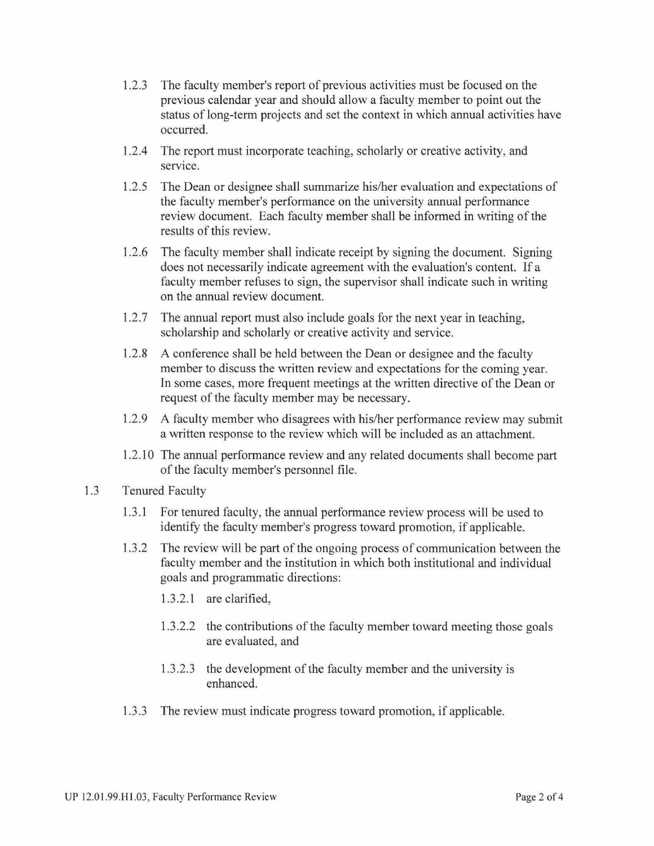- 1.2.3 The faculty member's report of previous activities must be focused on the previous calendar year and should allow a faculty member to point out the status of long-term projects and set the context in which annual activities have occurred.
- 1.2.4 The report must incorporate teaching, scholarly or creative activity, and service.
- 1.2.5 The Dean or designee shall summarize his/her evaluation and expectations of the faculty member's performance on the university annual performance review document. Each faculty member shall be informed in writing of the results of this review.
- 1.2.6 The faculty member shall indicate receipt by signing the document. Signing does not necessarily indicate agreement with the evaluation's content. If a faculty member refuses to sign, the supervisor shall indicate such in writing on the annual review document.
- 1.2.7 The annual report must also include goals for the next year in teaching, scholarship and scholarly or creative activity and service.
- 1.2.8 A conference shall be held between the Dean or designee and the faculty member to discuss the written review and expectations for the coming year. In some cases, more frequent meetings at the written directive of the Dean or request of the faculty member may be necessary.
- 1.2.9 A faculty member who disagrees with his/her performance review may submit a written response to the review which will be included as an attachment.
- 1.2.10 The annual performance review and any related documents shall become part of the faculty member's personnel file.
- 1.3 Tenured Faculty
	- 1.3.1 For tenured faculty, the annual performance review process will be used to identify the faculty member's progress toward promotion, if applicable.
	- 1.3 .2 The review will be part of the ongoing process of communication between the faculty member and the institution in which both institutional and individual goals and programmatic directions:
		- 1.3.2.1 are clarified,
		- 1.3.2.2 the contributions of the faculty member toward meeting those goals are evaluated, and
		- 1.3.2.3 the development of the faculty member and the university is enhanced.
	- 1.3 .3 The review must indicate progress toward promotion, if applicable.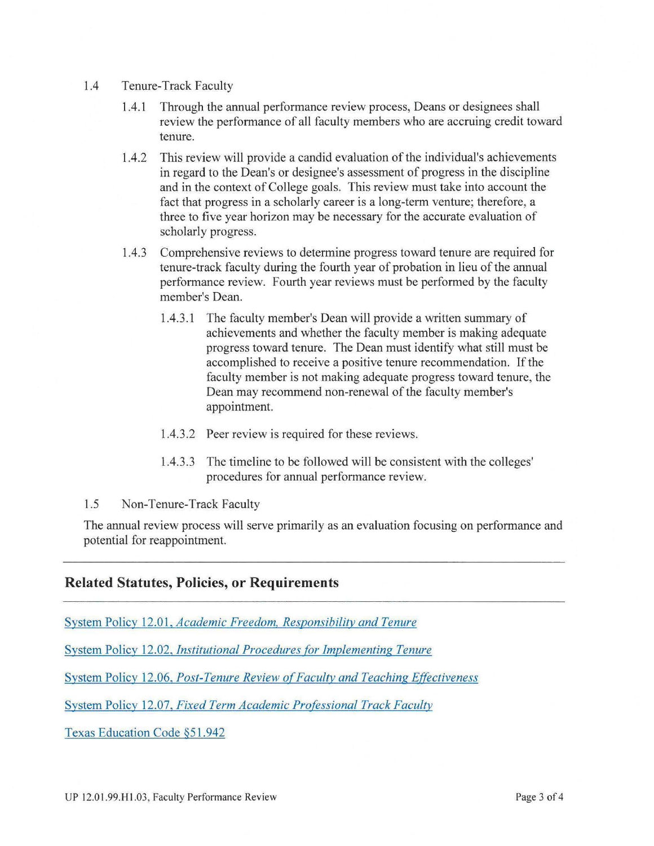- 1.4 Tenure-Track Faculty
	- 1.4.1 Through the annual performance review process, Deans or designees shall review the performance of all faculty members who are accruing credit toward tenure.
	- 1.4.2 This review will provide a candid evaluation of the individual's achievements in regard to the Dean's or designee's assessment of progress in the discipline and in the context of College goals. This review must take into account the fact that progress in a scholarly career is a long-term venture; therefore, a three to five year horizon may be necessary for the accurate evaluation of scholarly progress.
	- 1.4.3 Comprehensive reviews to determine progress toward tenure are required for tenure-track faculty during the fourth year of probation in lieu of the annual performance review. Fourth year reviews must be performed by the faculty member's Dean.
		- 1.4.3 .1 The faculty member's Dean will provide a written summary of achievements and whether the faculty member is making adequate progress toward tenure. The Dean must identify what still must be accomplished to receive a positive tenure recommendation. If the faculty member is not making adequate progress toward tenure, the Dean may recommend non-renewal of the faculty member's appointment.
		- 1.4.3.2 Peer review is required for these reviews.
		- 1.4.3.3 The timeline to be followed will be consistent with the colleges' procedures for annual performance review.
- 1.5 Non-Tenure-Track Faculty

The annual review process will serve primarily as an evaluation focusing on performance and potential for reappointment.

#### **Related Statutes, Policies, or Requirements**

System Policy 12.01, *[Academic Freedom, Responsibility and Tenure](http://policies.tamus.edu/12-01.pdf)* 

System Policy 12.02, *[Institutional Procedures for Implementing Tenure](http://policies.tamus.edu/12-02.pdf)* 

System Policy 12.06, *Post-Tenure Review of Faculty and Teaching Effectiveness* 

System Policy 12.07, *[Fixed Term Academic Professional Track Faculty](http://policies.tamus.edu/12-07.pdf)* 

[Texas Education Code §51.942](http://www.statutes.legis.state.tx.us/Docs/ED/htm/ED.51.htm#51.942)